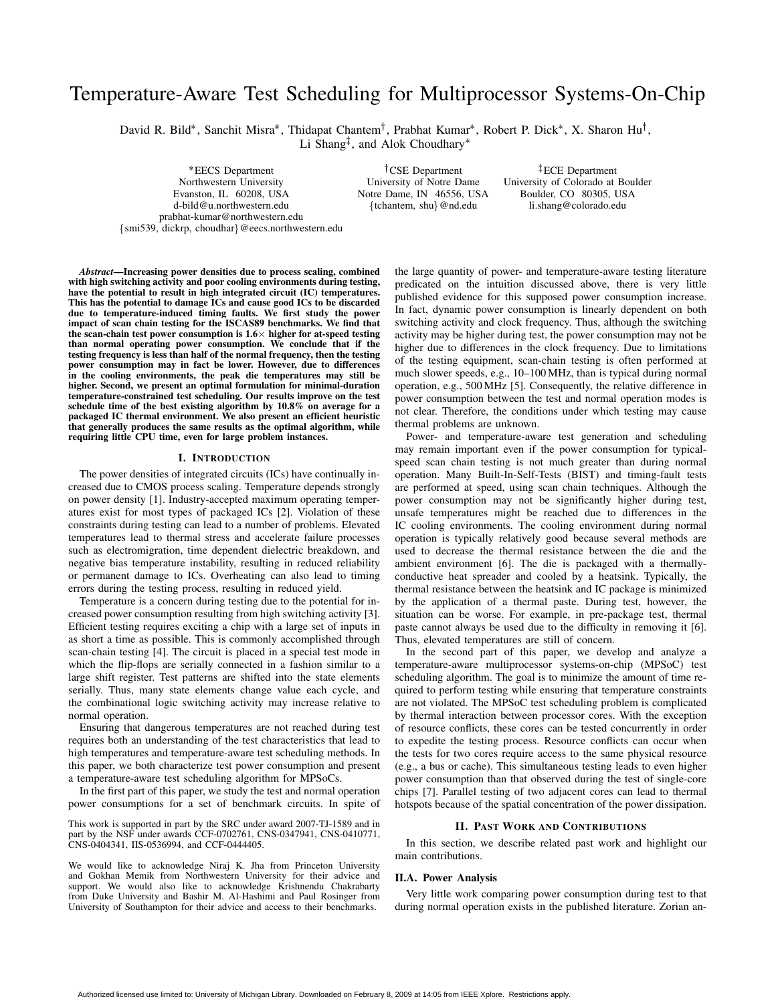# Temperature-Aware Test Scheduling for Multiprocessor Systems-On-Chip

David R. Bild\*, Sanchit Misra\*, Thidapat Chantem<sup>†</sup>, Prabhat Kumar\*, Robert P. Dick\*, X. Sharon Hu<sup>†</sup>,

Li Shang<sup> $\ddagger$ </sup>, and Alok Choudhary<sup>\*</sup>

Northwestern University **1988** University of Notre Dame University of Colorado at Boulder Evanston, IL 60208, USA Notre Dame, IN 46556, USA Boulder, CO 80305, USA d-bild@u.northwestern.edu {tchantem, shu}@nd.edu li.shang@colorado.edu prabhat-kumar@northwestern.edu ❢smi539, dickrp, choudhar❣@eecs.northwestern.edu

\*EECS Department  $\uparrow$  CSE Department  $\downarrow$  ECE Department Notre Dame, IN 46556, USA

*Abstract*—Increasing power densities due to process scaling, combined with high switching activity and poor cooling environments during testing, have the potential to result in high integrated circuit (IC) temperatures. This has the potential to damage ICs and cause good ICs to be discarded due to temperature-induced timing faults. We first study the power impact of scan chain testing for the ISCAS89 benchmarks. We find that the scan-chain test power consumption is  $1.6 \times$  higher for at-speed testing than normal operating power consumption. We conclude that if the testing frequency is less than half of the normal frequency, then the testing power consumption may in fact be lower. However, due to differences in the cooling environments, the peak die temperatures may still be higher. Second, we present an optimal formulation for minimal-duration temperature-constrained test scheduling. Our results improve on the test schedule time of the best existing algorithm by 10.8% on average for a packaged IC thermal environment. We also present an efficient heuristic that generally produces the same results as the optimal algorithm, while requiring little CPU time, even for large problem instances.

## I. INTRODUCTION

The power densities of integrated circuits (ICs) have continually increased due to CMOS process scaling. Temperature depends strongly on power density [1]. Industry-accepted maximum operating temperatures exist for most types of packaged ICs [2]. Violation of these constraints during testing can lead to a number of problems. Elevated temperatures lead to thermal stress and accelerate failure processes such as electromigration, time dependent dielectric breakdown, and negative bias temperature instability, resulting in reduced reliability or permanent damage to ICs. Overheating can also lead to timing errors during the testing process, resulting in reduced yield.

Temperature is a concern during testing due to the potential for increased power consumption resulting from high switching activity [3]. Efficient testing requires exciting a chip with a large set of inputs in as short a time as possible. This is commonly accomplished through scan-chain testing [4]. The circuit is placed in a special test mode in which the flip-flops are serially connected in a fashion similar to a large shift register. Test patterns are shifted into the state elements serially. Thus, many state elements change value each cycle, and the combinational logic switching activity may increase relative to normal operation.

Ensuring that dangerous temperatures are not reached during test requires both an understanding of the test characteristics that lead to high temperatures and temperature-aware test scheduling methods. In this paper, we both characterize test power consumption and present a temperature-aware test scheduling algorithm for MPSoCs.

In the first part of this paper, we study the test and normal operation power consumptions for a set of benchmark circuits. In spite of

This work is supported in part by the SRC under award 2007-TJ-1589 and in part by the NSF under awards CCF-0702761, CNS-0347941, CNS-0410771, CNS-0404341, IIS-0536994, and CCF-0444405.

We would like to acknowledge Niraj K. Jha from Princeton University and Gokhan Memik from Northwestern University for their advice and support. We would also like to acknowledge Krishnendu Chakrabarty from Duke University and Bashir M. Al-Hashimi and Paul Rosinger from University of Southampton for their advice and access to their benchmarks.

the large quantity of power- and temperature-aware testing literature predicated on the intuition discussed above, there is very little published evidence for this supposed power consumption increase. In fact, dynamic power consumption is linearly dependent on both switching activity and clock frequency. Thus, although the switching activity may be higher during test, the power consumption may not be higher due to differences in the clock frequency. Due to limitations of the testing equipment, scan-chain testing is often performed at much slower speeds, e.g., 10–100 MHz, than is typical during normal operation, e.g., 500 MHz [5]. Consequently, the relative difference in power consumption between the test and normal operation modes is not clear. Therefore, the conditions under which testing may cause thermal problems are unknown.

Power- and temperature-aware test generation and scheduling may remain important even if the power consumption for typicalspeed scan chain testing is not much greater than during normal operation. Many Built-In-Self-Tests (BIST) and timing-fault tests are performed at speed, using scan chain techniques. Although the power consumption may not be significantly higher during test, unsafe temperatures might be reached due to differences in the IC cooling environments. The cooling environment during normal operation is typically relatively good because several methods are used to decrease the thermal resistance between the die and the ambient environment [6]. The die is packaged with a thermallyconductive heat spreader and cooled by a heatsink. Typically, the thermal resistance between the heatsink and IC package is minimized by the application of a thermal paste. During test, however, the situation can be worse. For example, in pre-package test, thermal paste cannot always be used due to the difficulty in removing it [6]. Thus, elevated temperatures are still of concern.

In the second part of this paper, we develop and analyze a temperature-aware multiprocessor systems-on-chip (MPSoC) test scheduling algorithm. The goal is to minimize the amount of time required to perform testing while ensuring that temperature constraints are not violated. The MPSoC test scheduling problem is complicated by thermal interaction between processor cores. With the exception of resource conflicts, these cores can be tested concurrently in order to expedite the testing process. Resource conflicts can occur when the tests for two cores require access to the same physical resource (e.g., a bus or cache). This simultaneous testing leads to even higher power consumption than that observed during the test of single-core chips [7]. Parallel testing of two adjacent cores can lead to thermal hotspots because of the spatial concentration of the power dissipation.

#### II. PAST WORK AND CONTRIBUTIONS

In this section, we describe related past work and highlight our main contributions.

#### II.A. Power Analysis

Very little work comparing power consumption during test to that during normal operation exists in the published literature. Zorian an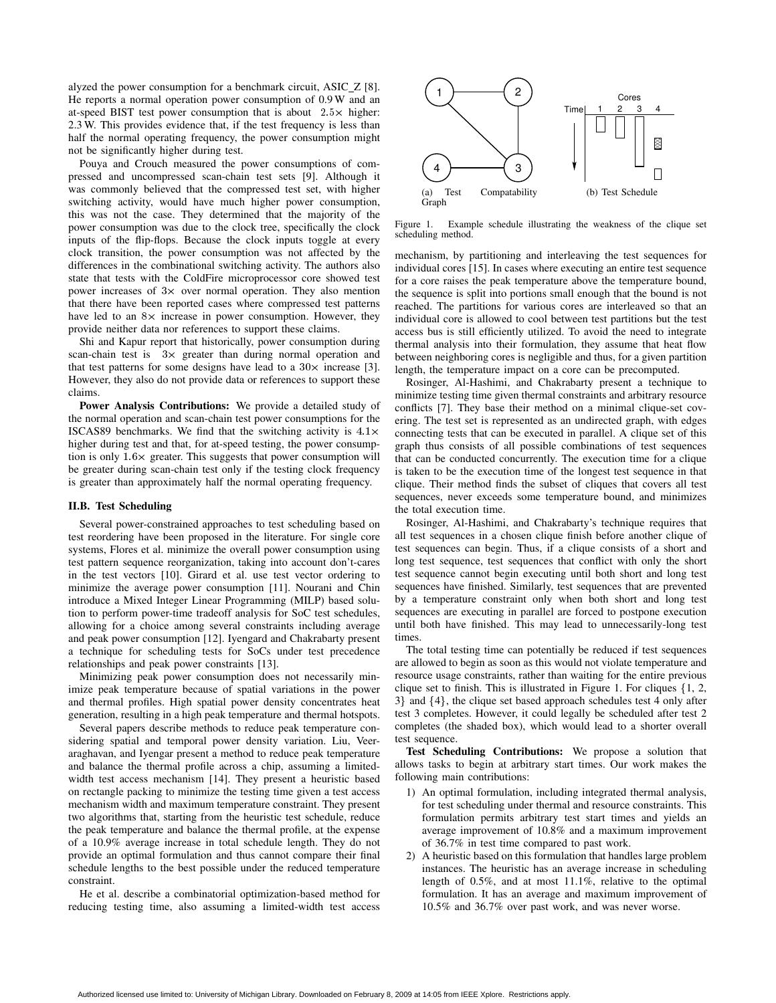alyzed the power consumption for a benchmark circuit, ASIC Z [8]. He reports a normal operation power consumption of 0.9 W and an at-speed BIST test power consumption that is about  $2.5 \times$  higher: 2.3 W. This provides evidence that, if the test frequency is less than half the normal operating frequency, the power consumption might not be significantly higher during test.

Pouya and Crouch measured the power consumptions of compressed and uncompressed scan-chain test sets [9]. Although it was commonly believed that the compressed test set, with higher switching activity, would have much higher power consumption, this was not the case. They determined that the majority of the power consumption was due to the clock tree, specifically the clock inputs of the flip-flops. Because the clock inputs toggle at every clock transition, the power consumption was not affected by the differences in the combinational switching activity. The authors also state that tests with the ColdFire microprocessor core showed test power increases of  $3 \times$  over normal operation. They also mention that there have been reported cases where compressed test patterns have led to an  $8 \times$  increase in power consumption. However, they provide neither data nor references to support these claims.

Shi and Kapur report that historically, power consumption during scan-chain test is  $3 \times$  greater than during normal operation and that test patterns for some designs have lead to a  $30 \times$  increase [3]. However, they also do not provide data or references to support these claims.

Power Analysis Contributions: We provide a detailed study of the normal operation and scan-chain test power consumptions for the ISCAS89 benchmarks. We find that the switching activity is  $4.1 \times$ higher during test and that, for at-speed testing, the power consumption is only  $1.6 \times$  greater. This suggests that power consumption will be greater during scan-chain test only if the testing clock frequency is greater than approximately half the normal operating frequency.

## II.B. Test Scheduling

Several power-constrained approaches to test scheduling based on test reordering have been proposed in the literature. For single core systems, Flores et al. minimize the overall power consumption using test pattern sequence reorganization, taking into account don't-cares in the test vectors [10]. Girard et al. use test vector ordering to minimize the average power consumption [11]. Nourani and Chin introduce a Mixed Integer Linear Programming (MILP) based solution to perform power-time tradeoff analysis for SoC test schedules, allowing for a choice among several constraints including average and peak power consumption [12]. Iyengard and Chakrabarty present a technique for scheduling tests for SoCs under test precedence relationships and peak power constraints [13].

Minimizing peak power consumption does not necessarily minimize peak temperature because of spatial variations in the power and thermal profiles. High spatial power density concentrates heat generation, resulting in a high peak temperature and thermal hotspots.

Several papers describe methods to reduce peak temperature considering spatial and temporal power density variation. Liu, Veeraraghavan, and Iyengar present a method to reduce peak temperature and balance the thermal profile across a chip, assuming a limitedwidth test access mechanism [14]. They present a heuristic based on rectangle packing to minimize the testing time given a test access mechanism width and maximum temperature constraint. They present two algorithms that, starting from the heuristic test schedule, reduce the peak temperature and balance the thermal profile, at the expense of a 10.9% average increase in total schedule length. They do not provide an optimal formulation and thus cannot compare their final schedule lengths to the best possible under the reduced temperature constraint.

He et al. describe a combinatorial optimization-based method for reducing testing time, also assuming a limited-width test access



Figure 1. Example schedule illustrating the weakness of the clique set scheduling method.

mechanism, by partitioning and interleaving the test sequences for individual cores [15]. In cases where executing an entire test sequence for a core raises the peak temperature above the temperature bound, the sequence is split into portions small enough that the bound is not reached. The partitions for various cores are interleaved so that an individual core is allowed to cool between test partitions but the test access bus is still efficiently utilized. To avoid the need to integrate thermal analysis into their formulation, they assume that heat flow between neighboring cores is negligible and thus, for a given partition length, the temperature impact on a core can be precomputed.

Rosinger, Al-Hashimi, and Chakrabarty present a technique to minimize testing time given thermal constraints and arbitrary resource conflicts [7]. They base their method on a minimal clique-set covering. The test set is represented as an undirected graph, with edges connecting tests that can be executed in parallel. A clique set of this graph thus consists of all possible combinations of test sequences that can be conducted concurrently. The execution time for a clique is taken to be the execution time of the longest test sequence in that clique. Their method finds the subset of cliques that covers all test sequences, never exceeds some temperature bound, and minimizes the total execution time.

Rosinger, Al-Hashimi, and Chakrabarty's technique requires that all test sequences in a chosen clique finish before another clique of test sequences can begin. Thus, if a clique consists of a short and long test sequence, test sequences that conflict with only the short test sequence cannot begin executing until both short and long test sequences have finished. Similarly, test sequences that are prevented by a temperature constraint only when both short and long test sequences are executing in parallel are forced to postpone execution until both have finished. This may lead to unnecessarily-long test times.

The total testing time can potentially be reduced if test sequences are allowed to begin as soon as this would not violate temperature and resource usage constraints, rather than waiting for the entire previous clique set to finish. This is illustrated in Figure 1. For cliques  $\{1, 2, \ldots\}$  $3\}$  and  $\{4\}$ , the clique set based approach schedules test 4 only after test 3 completes. However, it could legally be scheduled after test 2 completes (the shaded box), which would lead to a shorter overall test sequence.

Test Scheduling Contributions: We propose a solution that allows tasks to begin at arbitrary start times. Our work makes the following main contributions:

- 1) An optimal formulation, including integrated thermal analysis, for test scheduling under thermal and resource constraints. This formulation permits arbitrary test start times and yields an average improvement of 10.8% and a maximum improvement of 36.7% in test time compared to past work.
- 2) A heuristic based on this formulation that handles large problem instances. The heuristic has an average increase in scheduling length of 0.5%, and at most 11.1%, relative to the optimal formulation. It has an average and maximum improvement of 10.5% and 36.7% over past work, and was never worse.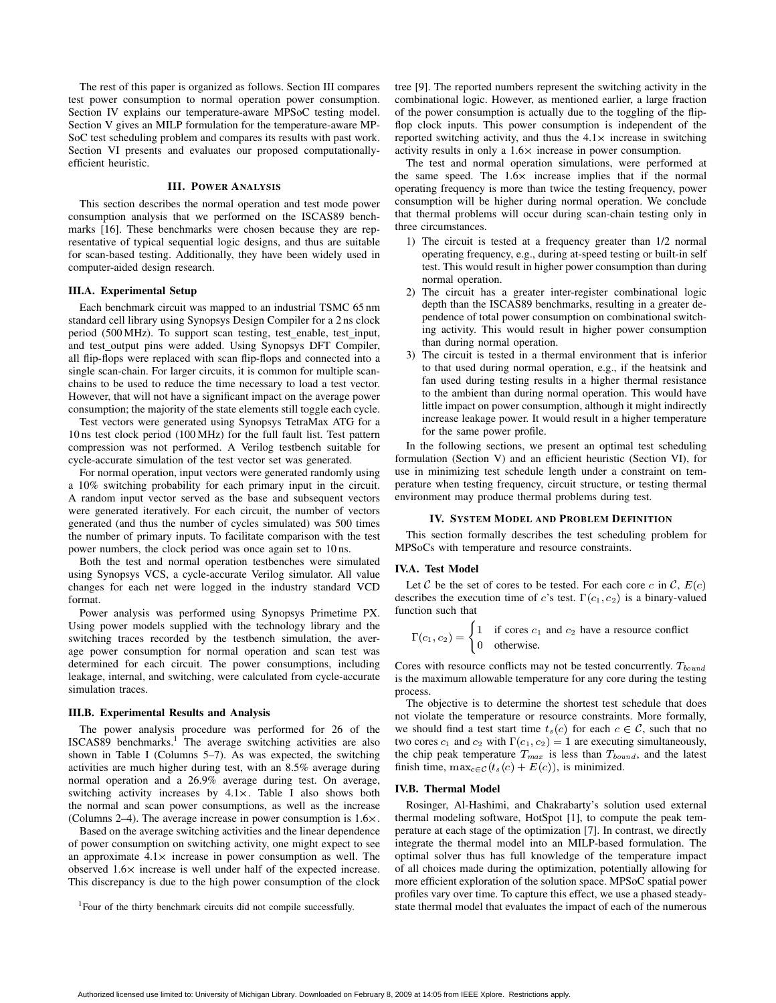The rest of this paper is organized as follows. Section III compares test power consumption to normal operation power consumption. Section IV explains our temperature-aware MPSoC testing model. Section V gives an MILP formulation for the temperature-aware MP-SoC test scheduling problem and compares its results with past work. Section VI presents and evaluates our proposed computationallyefficient heuristic.

# III. POWER ANALYSIS

This section describes the normal operation and test mode power consumption analysis that we performed on the ISCAS89 benchmarks [16]. These benchmarks were chosen because they are representative of typical sequential logic designs, and thus are suitable for scan-based testing. Additionally, they have been widely used in computer-aided design research.

# III.A. Experimental Setup

Each benchmark circuit was mapped to an industrial TSMC 65 nm standard cell library using Synopsys Design Compiler for a 2 ns clock period (500 MHz). To support scan testing, test\_enable, test\_input, and test\_output pins were added. Using Synopsys DFT Compiler, all flip-flops were replaced with scan flip-flops and connected into a single scan-chain. For larger circuits, it is common for multiple scanchains to be used to reduce the time necessary to load a test vector. However, that will not have a significant impact on the average power consumption; the majority of the state elements still toggle each cycle.

Test vectors were generated using Synopsys TetraMax ATG for a 10 ns test clock period (100 MHz) for the full fault list. Test pattern compression was not performed. A Verilog testbench suitable for cycle-accurate simulation of the test vector set was generated.

For normal operation, input vectors were generated randomly using a 10% switching probability for each primary input in the circuit. A random input vector served as the base and subsequent vectors were generated iteratively. For each circuit, the number of vectors generated (and thus the number of cycles simulated) was 500 times the number of primary inputs. To facilitate comparison with the test power numbers, the clock period was once again set to 10 ns.

Both the test and normal operation testbenches were simulated using Synopsys VCS, a cycle-accurate Verilog simulator. All value changes for each net were logged in the industry standard VCD format.

Power analysis was performed using Synopsys Primetime PX. Using power models supplied with the technology library and the switching traces recorded by the testbench simulation, the average power consumption for normal operation and scan test was determined for each circuit. The power consumptions, including leakage, internal, and switching, were calculated from cycle-accurate simulation traces.

#### III.B. Experimental Results and Analysis

The power analysis procedure was performed for 26 of the ISCAS89 benchmarks.<sup>1</sup> The average switching activities are also shown in Table I (Columns 5–7). As was expected, the switching activities are much higher during test, with an 8.5% average during normal operation and a 26.9% average during test. On average, switching activity increases by  $4.1 \times$ . Table I also shows both the normal and scan power consumptions, as well as the increase (Columns 2–4). The average increase in power consumption is 1.6✂.

Based on the average switching activities and the linear dependence of power consumption on switching activity, one might expect to see an approximate  $4.1 \times$  increase in power consumption as well. The observed 1.6✂ increase is well under half of the expected increase. This discrepancy is due to the high power consumption of the clock

<sup>1</sup>Four of the thirty benchmark circuits did not compile successfully.

tree [9]. The reported numbers represent the switching activity in the combinational logic. However, as mentioned earlier, a large fraction of the power consumption is actually due to the toggling of the flipflop clock inputs. This power consumption is independent of the reported switching activity, and thus the  $4.1 \times$  increase in switching activity results in only a 1.6✂ increase in power consumption.

The test and normal operation simulations, were performed at the same speed. The  $1.6 \times$  increase implies that if the normal operating frequency is more than twice the testing frequency, power consumption will be higher during normal operation. We conclude that thermal problems will occur during scan-chain testing only in three circumstances.

- 1) The circuit is tested at a frequency greater than 1/2 normal operating frequency, e.g., during at-speed testing or built-in self test. This would result in higher power consumption than during normal operation.
- 2) The circuit has a greater inter-register combinational logic depth than the ISCAS89 benchmarks, resulting in a greater dependence of total power consumption on combinational switching activity. This would result in higher power consumption than during normal operation.
- 3) The circuit is tested in a thermal environment that is inferior to that used during normal operation, e.g., if the heatsink and fan used during testing results in a higher thermal resistance to the ambient than during normal operation. This would have little impact on power consumption, although it might indirectly increase leakage power. It would result in a higher temperature for the same power profile.

In the following sections, we present an optimal test scheduling formulation (Section V) and an efficient heuristic (Section VI), for use in minimizing test schedule length under a constraint on temperature when testing frequency, circuit structure, or testing thermal environment may produce thermal problems during test.

## IV. SYSTEM MODEL AND PROBLEM DEFINITION

This section formally describes the test scheduling problem for MPSoCs with temperature and resource constraints.

# IV.A. Test Model

Let  $\mathcal C$  be the set of cores to be tested. For each core  $c$  in  $\mathcal C$ ,  $E(c)$ describes the execution time of c's test.  $\Gamma(c_1, c_2)$  is a binary-valued function such that

$$
\Gamma(c_1, c_2) = \begin{cases} 1 & \text{if cores } c_1 \text{ and } c_2 \text{ have a resource conflict} \\ 0 & \text{otherwise.} \end{cases}
$$

Cores with resource conflicts may not be tested concurrently.  $T_{bound}$ is the maximum allowable temperature for any core during the testing process.

The objective is to determine the shortest test schedule that does not violate the temperature or resource constraints. More formally, we should find a test start time  $t_s(c)$  for each  $c \in \mathcal{C}$ , such that no two cores  $c_1$  and  $c_2$  with  $\Gamma(c_1, c_2) = 1$  are executing simultaneously, the chip peak temperature  $T_{max}$  is less than  $T_{bound}$ , and the latest finish time,  $\max_{c \in \mathcal{C}} (t_s(c) + E(c))$ , is minimized.

## IV.B. Thermal Model

Rosinger, Al-Hashimi, and Chakrabarty's solution used external thermal modeling software, HotSpot [1], to compute the peak temperature at each stage of the optimization [7]. In contrast, we directly integrate the thermal model into an MILP-based formulation. The optimal solver thus has full knowledge of the temperature impact of all choices made during the optimization, potentially allowing for more efficient exploration of the solution space. MPSoC spatial power profiles vary over time. To capture this effect, we use a phased steadystate thermal model that evaluates the impact of each of the numerous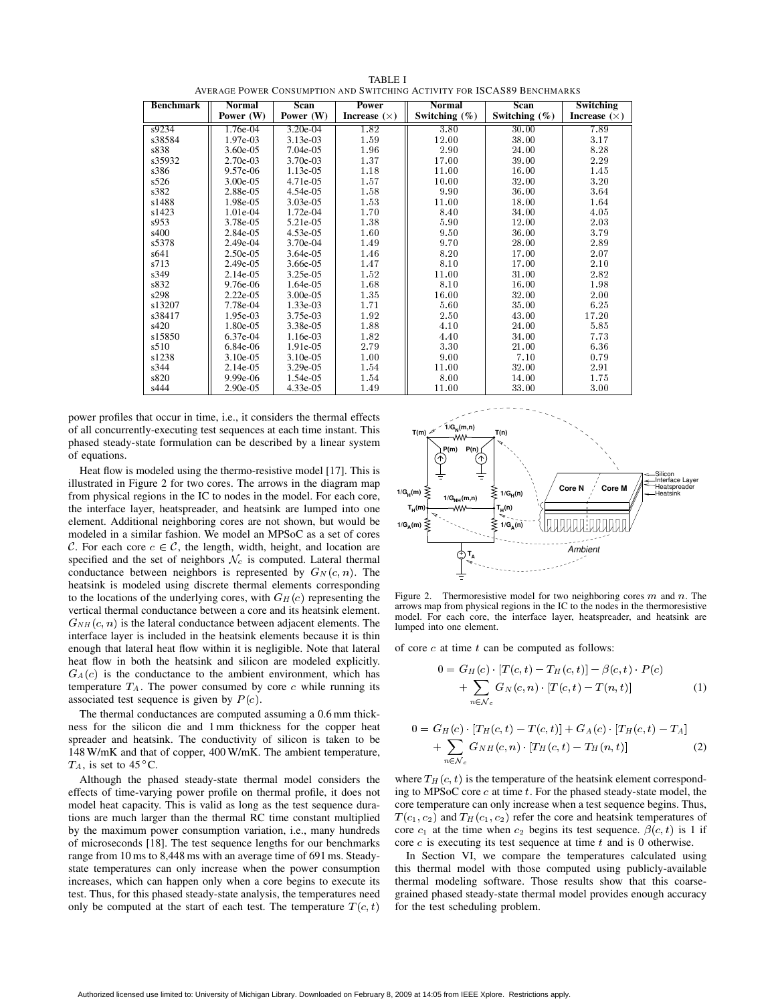| <b>Benchmark</b> | <b>Normal</b> | <b>Scan</b> | <b>Power</b>        | <b>Normal</b>     | <b>Scan</b>       | Switching           |
|------------------|---------------|-------------|---------------------|-------------------|-------------------|---------------------|
|                  | Power (W)     | Power (W)   | Increase $(\times)$ | Switching $(\% )$ | Switching $(\% )$ | Increase $(\times)$ |
| s9234            | $1.76e-04$    | $3.20e-04$  | 1.82                | 3.80              | 30.00             | 7.89                |
| s38584           | 1.97e-03      | 3.13e-03    | 1.59                | 12.00             | 38.00             | 3.17                |
| s838             | 3.60e-05      | 7.04e-05    | 1.96                | 2.90              | 24.00             | 8.28                |
| s35932           | $2.70e-03$    | 3.70e-03    | 1.37                | 17.00             | 39.00             | 2.29                |
| s386             | 9.57e-06      | 1.13e-05    | 1.18                | 11.00             | 16.00             | 1.45                |
| s526             | 3.00e-05      | 4.71e-05    | 1.57                | 10.00             | 32.00             | 3.20                |
| s382             | 2.88e-05      | 4.54e-05    | 1.58                | 9.90              | 36.00             | 3.64                |
| s1488            | 1.98e-05      | 3.03e-05    | 1.53                | 11.00             | 18.00             | 1.64                |
| s1423            | 1.01e-04      | 1.72e-04    | 1.70                | 8.40              | 34.00             | 4.05                |
| s953             | 3.78e-05      | 5.21e-05    | 1.38                | 5.90              | 12.00             | 2.03                |
| s400             | 2.84e-05      | $4.53e-0.5$ | 1.60                | 9.50              | 36.00             | 3.79                |
| s5378            | 2.49e-04      | 3.70e-04    | 1.49                | 9.70              | 28.00             | 2.89                |
| s641             | $2.50e-0.5$   | 3.64e-05    | 1.46                | 8.20              | 17.00             | 2.07                |
| s713             | 2.49e-05      | 3.66e-05    | 1.47                | 8.10              | 17.00             | 2.10                |
| s349             | 2.14e-05      | 3.25e-05    | 1.52                | 11.00             | 31.00             | 2.82                |
| s832             | 9.76e-06      | 1.64e-05    | 1.68                | 8.10              | 16.00             | 1.98                |
| s298             | 2.22e-05      | 3.00e-05    | 1.35                | 16.00             | 32.00             | 2.00                |
| s13207           | 7.78e-04      | $1.33e-03$  | 1.71                | 5.60              | 35.00             | 6.25                |
| s38417           | 1.95e-03      | 3.75e-03    | 1.92                | 2.50              | 43.00             | 17.20               |
| s420             | 1.80e-05      | 3.38e-05    | 1.88                | 4.10              | 24.00             | 5.85                |
| s15850           | 6.37e-04      | 1.16e-03    | 1.82                | 4.40              | 34.00             | 7.73                |
| s510             | 6.84e-06      | 1.91e-05    | 2.79                | 3.30              | 21.00             | 6.36                |
| s1238            | $3.10e-0.5$   | $3.10e-05$  | 1.00                | 9.00              | 7.10              | 0.79                |
| s344             | 2.14e-05      | 3.29e-05    | 1.54                | 11.00             | 32.00             | 2.91                |
| s820             | 9.99e-06      | 1.54e-05    | 1.54                | 8.00              | 14.00             | 1.75                |
| s444             | 2.90e-05      | 4.33e-05    | 1.49                | 11.00             | 33.00             | 3.00                |

TABLE I AVERAGE POWER CONSUMPTION AND SWITCHING ACTIVITY FOR ISCAS89 BENCHMARKS

power profiles that occur in time, i.e., it considers the thermal effects of all concurrently-executing test sequences at each time instant. This phased steady-state formulation can be described by a linear system of equations.

Heat flow is modeled using the thermo-resistive model [17]. This is illustrated in Figure 2 for two cores. The arrows in the diagram map from physical regions in the IC to nodes in the model. For each core, the interface layer, heatspreader, and heatsink are lumped into one element. Additional neighboring cores are not shown, but would be modeled in a similar fashion. We model an MPSoC as a set of cores C. For each core  $c \in \mathcal{C}$ , the length, width, height, and location are specified and the set of neighbors  $\mathcal{N}_c$  is computed. Lateral thermal conductance between neighbors is represented by  $G_N(c, n)$ . The heatsink is modeled using discrete thermal elements corresponding to the locations of the underlying cores, with  $G_H(c)$  representing the vertical thermal conductance between a core and its heatsink element.  $G_{NH}(c, n)$  is the lateral conductance between adjacent elements. The interface layer is included in the heatsink elements because it is thin enough that lateral heat flow within it is negligible. Note that lateral heat flow in both the heatsink and silicon are modeled explicitly.  $G_A(c)$  is the conductance to the ambient environment, which has temperature  $T_A$ . The power consumed by core  $c$  while running its associated test sequence is given by  $P(c)$ .

The thermal conductances are computed assuming a 0.6 mm thickness for the silicon die and 1 mm thickness for the copper heat spreader and heatsink. The conductivity of silicon is taken to be 148 W/mK and that of copper, 400 W/mK. The ambient temperature,  $T_A$ , is set to 45 °C.

Although the phased steady-state thermal model considers the effects of time-varying power profile on thermal profile, it does not model heat capacity. This is valid as long as the test sequence durations are much larger than the thermal RC time constant multiplied by the maximum power consumption variation, i.e., many hundreds of microseconds [18]. The test sequence lengths for our benchmarks range from 10 ms to 8,448 ms with an average time of 691 ms. Steadystate temperatures can only increase when the power consumption increases, which can happen only when a core begins to execute its test. Thus, for this phased steady-state analysis, the temperatures need only be computed at the start of each test. The temperature  $T(c, t)$ 



Figure 2. Thermoresistive model for two neighboring cores  $m$  and  $n$ . The arrows map from physical regions in the IC to the nodes in the thermoresistive model. For each core, the interface layer, heatspreader, and heatsink are lumped into one element.

of core  $c$  at time  $t$  can be computed as follows:

$$
0 = G_H(c) \cdot [T(c, t) - T_H(c, t)] - \beta(c, t) \cdot P(c) + \sum_{n \in \mathcal{N}_c} G_N(c, n) \cdot [T(c, t) - T(n, t)]
$$
(1)

$$
0 = G_H(c) \cdot [T_H(c, t) - T(c, t)] + G_A(c) \cdot [T_H(c, t) - T_A] + \sum_{n \in \mathcal{N}_c} G_{NH}(c, n) \cdot [T_H(c, t) - T_H(n, t)]
$$
(2)

where  $T_H(c, t)$  is the temperature of the heatsink element corresponding to MPSoC core  $c$  at time  $t$ . For the phased steady-state model, the core temperature can only increase when a test sequence begins. Thus,  $T(c_1, c_2)$  and  $T_H(c_1, c_2)$  refer the core and heatsink temperatures of core  $c_1$  at the time when  $c_2$  begins its test sequence.  $\beta(c, t)$  is 1 if core  $c$  is executing its test sequence at time  $t$  and is 0 otherwise.

In Section VI, we compare the temperatures calculated using this thermal model with those computed using publicly-available thermal modeling software. Those results show that this coarsegrained phased steady-state thermal model provides enough accuracy for the test scheduling problem.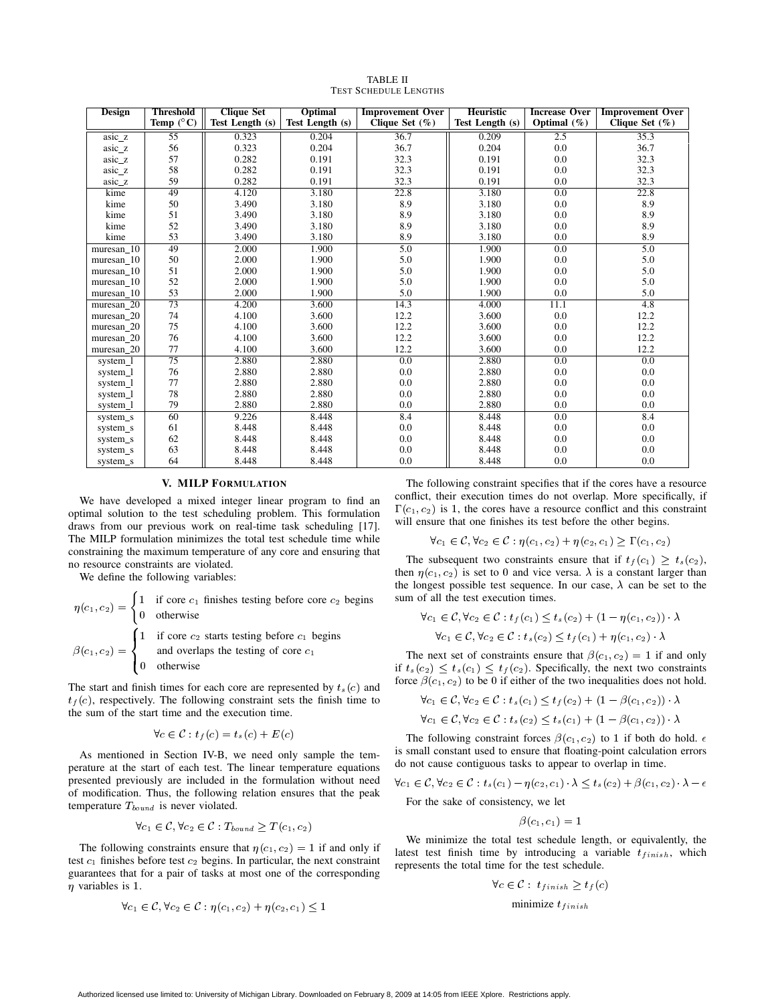| <b>Design</b> | <b>Threshold</b><br>Temp $(^{\circ}C)$ | <b>Clique Set</b><br>Test Length (s) | <b>Optimal</b><br>Test Length (s) | <b>Improvement Over</b><br>Clique Set $(\% )$ | <b>Heuristic</b><br>Test Length (s) | <b>Increase Over</b><br>Optimal $(\% )$ | <b>Improvement Over</b><br>Clique Set $(\% )$ |
|---------------|----------------------------------------|--------------------------------------|-----------------------------------|-----------------------------------------------|-------------------------------------|-----------------------------------------|-----------------------------------------------|
|               |                                        |                                      |                                   |                                               |                                     |                                         |                                               |
| asic z        | $\overline{55}$                        | 0.323                                | 0.204                             | 36.7                                          | 0.209                               | $\overline{2.5}$                        | 35.3                                          |
| $asic_ z$     | 56                                     | 0.323                                | 0.204                             | 36.7                                          | 0.204                               | 0.0                                     | 36.7                                          |
| $asic_z$      | 57                                     | 0.282                                | 0.191                             | 32.3                                          | 0.191                               | 0.0                                     | 32.3                                          |
| asic z        | 58                                     | 0.282                                | 0.191                             | 32.3                                          | 0.191                               | 0.0                                     | 32.3                                          |
| $asic_ z$     | 59                                     | 0.282                                | 0.191                             | 32.3                                          | 0.191                               | 0.0                                     | 32.3                                          |
| kime          | 49                                     | 4.120                                | 3.180                             | 22.8                                          | 3.180                               | 0.0                                     | 22.8                                          |
| kime          | 50                                     | 3.490                                | 3.180                             | 8.9                                           | 3.180                               | 0.0                                     | 8.9                                           |
| kime          | 51                                     | 3.490                                | 3.180                             | 8.9                                           | 3.180                               | 0.0                                     | 8.9                                           |
| kime          | 52                                     | 3.490                                | 3.180                             | 8.9                                           | 3.180                               | 0.0                                     | 8.9                                           |
| kime          | 53                                     | 3.490                                | 3.180                             | 8.9                                           | 3.180                               | 0.0                                     | 8.9                                           |
| muresan 10    | 49                                     | 2.000                                | 1.900                             | 5.0                                           | 1.900                               | 0.0                                     | 5.0                                           |
| muresan 10    | 50                                     | 2.000                                | 1.900                             | 5.0                                           | 1.900                               | 0.0                                     | 5.0                                           |
| muresan 10    | 51                                     | 2.000                                | 1.900                             | 5.0                                           | 1.900                               | 0.0                                     | 5.0                                           |
| muresan 10    | 52                                     | 2.000                                | 1.900                             | 5.0                                           | 1.900                               | 0.0                                     | 5.0                                           |
| muresan 10    | 53                                     | 2.000                                | 1.900                             | 5.0                                           | 1.900                               | 0.0                                     | 5.0                                           |
| muresan 20    | 73                                     | 4.200                                | 3.600                             | 14.3                                          | 4,000                               | 11.1                                    | 4.8                                           |
| muresan 20    | 74                                     | 4.100                                | 3.600                             | 12.2                                          | 3.600                               | 0.0                                     | 12.2                                          |
| muresan 20    | 75                                     | 4.100                                | 3.600                             | 12.2                                          | 3.600                               | 0.0                                     | 12.2                                          |
| muresan 20    | 76                                     | 4.100                                | 3.600                             | 12.2                                          | 3.600                               | 0.0                                     | 12.2                                          |
| muresan 20    | 77                                     | 4.100                                | 3.600                             | 12.2                                          | 3.600                               | 0.0                                     | 12.2                                          |
| system_1      | $\overline{75}$                        | 2.880                                | 2.880                             | $\overline{0.0}$                              | 2.880                               | 0.0                                     | 0.0                                           |
| system_1      | 76                                     | 2.880                                | 2.880                             | 0.0                                           | 2.880                               | 0.0                                     | 0.0                                           |
| system_1      | 77                                     | 2.880                                | 2.880                             | 0.0                                           | 2.880                               | 0.0                                     | 0.0                                           |
| system 1      | 78                                     | 2.880                                | 2.880                             | 0.0                                           | 2.880                               | 0.0                                     | 0.0                                           |
| system_1      | 79                                     | 2.880                                | 2.880                             | 0.0                                           | 2.880                               | 0.0                                     | 0.0                                           |
| system s      | 60                                     | 9.226                                | 8.448                             | 8.4                                           | 8.448                               | 0.0                                     | 8.4                                           |
| system_s      | 61                                     | 8.448                                | 8.448                             | 0.0                                           | 8.448                               | 0.0                                     | 0.0                                           |
| system_s      | 62                                     | 8.448                                | 8.448                             | 0.0                                           | 8.448                               | 0.0                                     | 0.0                                           |
| system s      | 63                                     | 8.448                                | 8.448                             | 0.0                                           | 8.448                               | 0.0                                     | 0.0                                           |
| system_s      | 64                                     | 8.448                                | 8.448                             | 0.0                                           | 8.448                               | 0.0                                     | 0.0                                           |

TABLE II TEST SCHEDULE LENGTHS

#### V. MILP FORMULATION

We have developed a mixed integer linear program to find an optimal solution to the test scheduling problem. This formulation draws from our previous work on real-time task scheduling [17]. The MILP formulation minimizes the total test schedule time while constraining the maximum temperature of any core and ensuring that no resource constraints are violated.

We define the following variables:

$$
\eta(c_1, c_2) = \begin{cases}\n1 & \text{if core } c_1 \text{ finishes testing before core } c_2 \text{ begins} \\
0 & \text{otherwise}\n\end{cases}
$$
\n
$$
\beta(c_1, c_2) = \begin{cases}\n1 & \text{if core } c_2 \text{ starts testing before } c_1 \text{ begins} \\
0 & \text{otherwise}\n\end{cases}
$$
\nand overlaps the testing of core  $c_1$ 

The start and finish times for each core are represented by  $t_s(c)$  and  $t_f(c)$ , respectively. The following constraint sets the finish time to the sum of the start time and the execution time.

$$
\forall c \in \mathcal{C} : t_f(c) = t_s(c) + E(c)
$$

As mentioned in Section IV-B, we need only sample the temperature at the start of each test. The linear temperature equations presented previously are included in the formulation without need of modification. Thus, the following relation ensures that the peak temperature  $T_{bound}$  is never violated.

$$
\forall c_1 \in \mathcal{C}, \forall c_2 \in \mathcal{C} : T_{bound} \geq T(c_1, c_2)
$$

The following constraints ensure that  $\eta(c_1, c_2) = 1$  if and only if test  $c_1$  finishes before test  $c_2$  begins. In particular, the next constraint guarantees that for a pair of tasks at most one of the corresponding  $\eta$  variables is 1.

$$
\forall c_1 \in \mathcal{C}, \forall c_2 \in \mathcal{C} : \eta(c_1, c_2) + \eta(c_2, c_1) \leq 1
$$

The following constraint specifies that if the cores have a resource conflict, their execution times do not overlap. More specifically, if  $\Gamma(c_1, c_2)$  is 1, the cores have a resource conflict and this constraint will ensure that one finishes its test before the other begins.

$$
\forall c_1 \in \mathcal{C}, \forall c_2 \in \mathcal{C} : \eta(c_1, c_2) + \eta(c_2, c_1) \geq \Gamma(c_1, c_2)
$$

The subsequent two constraints ensure that if  $t_f(c_1) \geq t_s(c_2)$ , then  $\eta(c_1, c_2)$  is set to 0 and vice versa.  $\lambda$  is a constant larger than the longest possible test sequence. In our case,  $\lambda$  can be set to the sum of all the test execution times.

$$
\forall c_1 \in \mathcal{C}, \forall c_2 \in \mathcal{C} : t_f(c_1) \le t_s(c_2) + (1 - \eta(c_1, c_2)) \cdot \lambda
$$

$$
\forall c_1 \in \mathcal{C}, \forall c_2 \in \mathcal{C} : t_s(c_2) \le t_f(c_1) + \eta(c_1, c_2) \cdot \lambda
$$

The next set of constraints ensure that  $\beta(c_1, c_2) = 1$  if and only if  $t_s(c_2) \leq t_s(c_1) \leq t_f(c_2)$ . Specifically, the next two constraints force  $\beta(c_1, c_2)$  to be 0 if either of the two inequalities does not hold.

$$
\forall c_1 \in \mathcal{C}, \forall c_2 \in \mathcal{C} : t_s(c_1) \leq t_f(c_2) + (1 - \beta(c_1, c_2)) \cdot \lambda
$$
  

$$
\forall c_1 \in \mathcal{C}, \forall c_2 \in \mathcal{C} : t_s(c_2) \leq t_s(c_1) + (1 - \beta(c_1, c_2)) \cdot \lambda
$$

The following constraint forces  $\beta(c_1, c_2)$  to 1 if both do hold.  $\epsilon$ is small constant used to ensure that floating-point calculation errors do not cause contiguous tasks to appear to overlap in time.

$$
\forall c_1 \in \mathcal{C}, \forall c_2 \in \mathcal{C}: t_s(c_1) - \eta(c_2, c_1) \cdot \lambda \leq t_s(c_2) + \beta(c_1, c_2) \cdot \lambda - \epsilon
$$

For the sake of consistency, we let

$$
\beta(c_1,c_1)=1
$$

We minimize the total test schedule length, or equivalently, the latest test finish time by introducing a variable  $t_{finish}$ , which represents the total time for the test schedule.

> $\forall c \in \mathcal{C}: t_{finish} \geq t_f(c)$ minimize  $t_{finish}$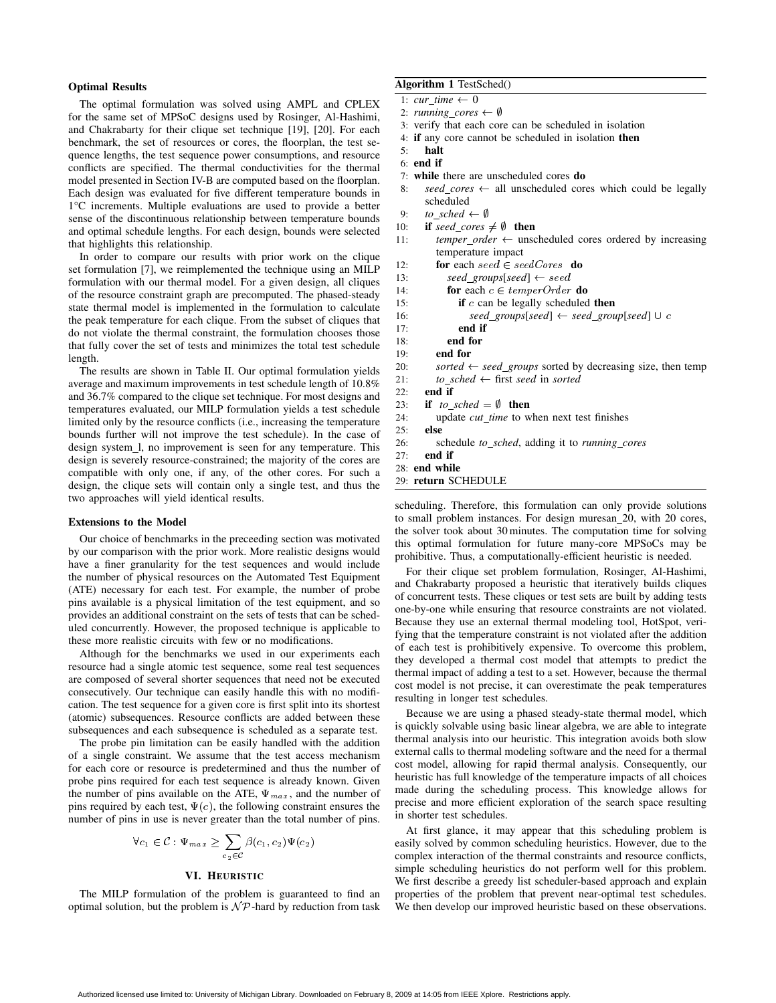## Optimal Results

The optimal formulation was solved using AMPL and CPLEX for the same set of MPSoC designs used by Rosinger, Al-Hashimi, and Chakrabarty for their clique set technique [19], [20]. For each benchmark, the set of resources or cores, the floorplan, the test sequence lengths, the test sequence power consumptions, and resource conflicts are specified. The thermal conductivities for the thermal model presented in Section IV-B are computed based on the floorplan. Each design was evaluated for five different temperature bounds in 1°C increments. Multiple evaluations are used to provide a better sense of the discontinuous relationship between temperature bounds and optimal schedule lengths. For each design, bounds were selected that highlights this relationship.

In order to compare our results with prior work on the clique set formulation [7], we reimplemented the technique using an MILP formulation with our thermal model. For a given design, all cliques of the resource constraint graph are precomputed. The phased-steady state thermal model is implemented in the formulation to calculate the peak temperature for each clique. From the subset of cliques that do not violate the thermal constraint, the formulation chooses those that fully cover the set of tests and minimizes the total test schedule length.

The results are shown in Table II. Our optimal formulation yields average and maximum improvements in test schedule length of 10.8% and 36.7% compared to the clique set technique. For most designs and temperatures evaluated, our MILP formulation yields a test schedule limited only by the resource conflicts (i.e., increasing the temperature bounds further will not improve the test schedule). In the case of design system l, no improvement is seen for any temperature. This design is severely resource-constrained; the majority of the cores are compatible with only one, if any, of the other cores. For such a design, the clique sets will contain only a single test, and thus the two approaches will yield identical results.

#### Extensions to the Model

Our choice of benchmarks in the preceeding section was motivated by our comparison with the prior work. More realistic designs would have a finer granularity for the test sequences and would include the number of physical resources on the Automated Test Equipment (ATE) necessary for each test. For example, the number of probe pins available is a physical limitation of the test equipment, and so provides an additional constraint on the sets of tests that can be scheduled concurrently. However, the proposed technique is applicable to these more realistic circuits with few or no modifications.

Although for the benchmarks we used in our experiments each resource had a single atomic test sequence, some real test sequences are composed of several shorter sequences that need not be executed consecutively. Our technique can easily handle this with no modification. The test sequence for a given core is first split into its shortest (atomic) subsequences. Resource conflicts are added between these subsequences and each subsequence is scheduled as a separate test.

The probe pin limitation can be easily handled with the addition of a single constraint. We assume that the test access mechanism for each core or resource is predetermined and thus the number of probe pins required for each test sequence is already known. Given the number of pins available on the ATE,  $\Psi_{max}$ , and the number of pins required by each test,  $\Psi(c)$ , the following constraint ensures the number of pins in use is never greater than the total number of pins.

$$
\forall c_1 \in \mathcal{C} : \Psi_{max} \geq \sum_{c_2 \in \mathcal{C}} \beta(c_1, c_2) \Psi(c_2)
$$

# VI. HEURISTIC

The MILP formulation of the problem is guaranteed to find an optimal solution, but the problem is  $\mathcal{NP}$ -hard by reduction from task Algorithm 1 TestSched()

```
1: cur\_time \leftarrow 0
```

```
2: running_cores \leftarrow \emptyset
```
- 3: verify that each core can be scheduled in isolation
- 4: if any core cannot be scheduled in isolation then
- 5: halt
- 6: end if
- 7: while there are unscheduled cores do
- 8: *seed\_cores*  $\leftarrow$  all unscheduled cores which could be legally scheduled
- 9: *to sched*  $\leftarrow \emptyset$
- 10: **if** *seed\_cores*  $\neq \emptyset$  **then**
- 11: *temper\_order*  $\leftarrow$  unscheduled cores ordered by increasing temperature impact
- 12: for each seed  $\in$  seedCores do
- 13: *seed groups*[*seed*]  $\leftarrow$  *seed*
- 14: **for** each  $c \in temperOrder$  **do**
- 15: **if**  $c$  can be legally scheduled **then**

16: 
$$
seed\_groups[seed] \leftarrow seed\_group[seed] \cup c
$$

- 17: end if
- 18: end for
- 19: end for
- 20: *sorted*  $\leftarrow$  *seed\_groups* sorted by decreasing size, then temp
- 21:  $to\_sched \leftarrow first seed in sorted$
- 22: end if
- 23: if  $to\_sched = \emptyset$  then
- 24: update *cut time* to when next test finishes
- 25: else
- 26: schedule *to sched*, adding it to *running cores*
- 27: end if

28: end while

29: return SCHEDULE

scheduling. Therefore, this formulation can only provide solutions to small problem instances. For design muresan 20, with 20 cores, the solver took about 30 minutes. The computation time for solving this optimal formulation for future many-core MPSoCs may be prohibitive. Thus, a computationally-efficient heuristic is needed.

For their clique set problem formulation, Rosinger, Al-Hashimi, and Chakrabarty proposed a heuristic that iteratively builds cliques of concurrent tests. These cliques or test sets are built by adding tests one-by-one while ensuring that resource constraints are not violated. Because they use an external thermal modeling tool, HotSpot, verifying that the temperature constraint is not violated after the addition of each test is prohibitively expensive. To overcome this problem, they developed a thermal cost model that attempts to predict the thermal impact of adding a test to a set. However, because the thermal cost model is not precise, it can overestimate the peak temperatures resulting in longer test schedules.

Because we are using a phased steady-state thermal model, which is quickly solvable using basic linear algebra, we are able to integrate thermal analysis into our heuristic. This integration avoids both slow external calls to thermal modeling software and the need for a thermal cost model, allowing for rapid thermal analysis. Consequently, our heuristic has full knowledge of the temperature impacts of all choices made during the scheduling process. This knowledge allows for precise and more efficient exploration of the search space resulting in shorter test schedules.

At first glance, it may appear that this scheduling problem is easily solved by common scheduling heuristics. However, due to the complex interaction of the thermal constraints and resource conflicts, simple scheduling heuristics do not perform well for this problem. We first describe a greedy list scheduler-based approach and explain properties of the problem that prevent near-optimal test schedules. We then develop our improved heuristic based on these observations.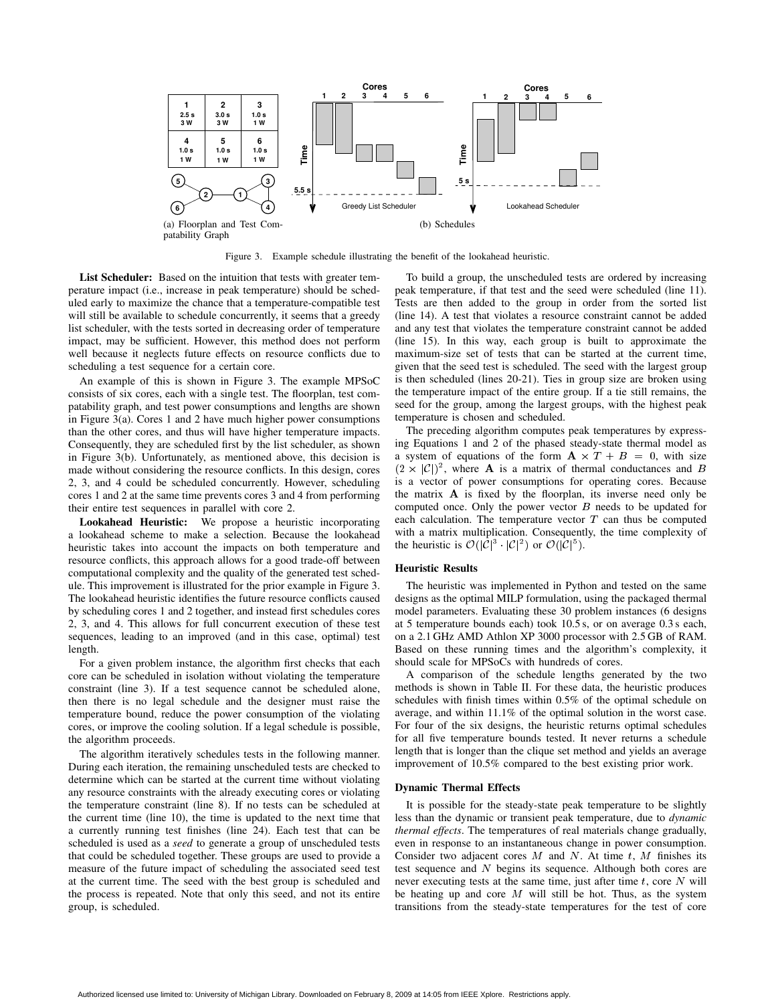

Figure 3. Example schedule illustrating the benefit of the lookahead heuristic.

List Scheduler: Based on the intuition that tests with greater temperature impact (i.e., increase in peak temperature) should be scheduled early to maximize the chance that a temperature-compatible test will still be available to schedule concurrently, it seems that a greedy list scheduler, with the tests sorted in decreasing order of temperature impact, may be sufficient. However, this method does not perform well because it neglects future effects on resource conflicts due to scheduling a test sequence for a certain core.

An example of this is shown in Figure 3. The example MPSoC consists of six cores, each with a single test. The floorplan, test compatability graph, and test power consumptions and lengths are shown in Figure 3(a). Cores 1 and 2 have much higher power consumptions than the other cores, and thus will have higher temperature impacts. Consequently, they are scheduled first by the list scheduler, as shown in Figure 3(b). Unfortunately, as mentioned above, this decision is made without considering the resource conflicts. In this design, cores 2, 3, and 4 could be scheduled concurrently. However, scheduling cores 1 and 2 at the same time prevents cores 3 and 4 from performing their entire test sequences in parallel with core 2.

Lookahead Heuristic: We propose a heuristic incorporating a lookahead scheme to make a selection. Because the lookahead heuristic takes into account the impacts on both temperature and resource conflicts, this approach allows for a good trade-off between computational complexity and the quality of the generated test schedule. This improvement is illustrated for the prior example in Figure 3. The lookahead heuristic identifies the future resource conflicts caused by scheduling cores 1 and 2 together, and instead first schedules cores 2, 3, and 4. This allows for full concurrent execution of these test sequences, leading to an improved (and in this case, optimal) test length.

For a given problem instance, the algorithm first checks that each core can be scheduled in isolation without violating the temperature constraint (line 3). If a test sequence cannot be scheduled alone, then there is no legal schedule and the designer must raise the temperature bound, reduce the power consumption of the violating cores, or improve the cooling solution. If a legal schedule is possible, the algorithm proceeds.

The algorithm iteratively schedules tests in the following manner. During each iteration, the remaining unscheduled tests are checked to determine which can be started at the current time without violating any resource constraints with the already executing cores or violating the temperature constraint (line 8). If no tests can be scheduled at the current time (line 10), the time is updated to the next time that a currently running test finishes (line 24). Each test that can be scheduled is used as a *seed* to generate a group of unscheduled tests that could be scheduled together. These groups are used to provide a measure of the future impact of scheduling the associated seed test at the current time. The seed with the best group is scheduled and the process is repeated. Note that only this seed, and not its entire group, is scheduled.

To build a group, the unscheduled tests are ordered by increasing peak temperature, if that test and the seed were scheduled (line 11). Tests are then added to the group in order from the sorted list (line 14). A test that violates a resource constraint cannot be added and any test that violates the temperature constraint cannot be added (line 15). In this way, each group is built to approximate the maximum-size set of tests that can be started at the current time, given that the seed test is scheduled. The seed with the largest group is then scheduled (lines 20-21). Ties in group size are broken using the temperature impact of the entire group. If a tie still remains, the seed for the group, among the largest groups, with the highest peak temperature is chosen and scheduled.

The preceding algorithm computes peak temperatures by expressing Equations 1 and 2 of the phased steady-state thermal model as a system of equations of the form  $A \times T + B = 0$ , with size  $(2 \times |\mathcal{C}|)^2$ , where **A** is a matrix of thermal conductances and *B* is a vector of power consumptions for operating cores. Because the matrix  $A$  is fixed by the floorplan, its inverse need only be computed once. Only the power vector  $B$  needs to be updated for each calculation. The temperature vector  $T$  can thus be computed with a matrix multiplication. Consequently, the time complexity of the heuristic is  $\mathcal{O}(|\mathcal{C}|^3 \cdot |\mathcal{C}|^2)$  or  $\mathcal{O}(|\mathcal{C}|^5)$ .

# Heuristic Results

The heuristic was implemented in Python and tested on the same designs as the optimal MILP formulation, using the packaged thermal model parameters. Evaluating these 30 problem instances (6 designs at 5 temperature bounds each) took 10.5 s, or on average 0.3 s each, on a 2.1 GHz AMD Athlon XP 3000 processor with 2.5 GB of RAM. Based on these running times and the algorithm's complexity, it should scale for MPSoCs with hundreds of cores.

A comparison of the schedule lengths generated by the two methods is shown in Table II. For these data, the heuristic produces schedules with finish times within 0.5% of the optimal schedule on average, and within 11.1% of the optimal solution in the worst case. For four of the six designs, the heuristic returns optimal schedules for all five temperature bounds tested. It never returns a schedule length that is longer than the clique set method and yields an average improvement of 10.5% compared to the best existing prior work.

#### Dynamic Thermal Effects

It is possible for the steady-state peak temperature to be slightly less than the dynamic or transient peak temperature, due to *dynamic thermal effects*. The temperatures of real materials change gradually, even in response to an instantaneous change in power consumption. Consider two adjacent cores  $M$  and  $N$ . At time  $t$ ,  $M$  finishes its test sequence and  $N$  begins its sequence. Although both cores are never executing tests at the same time, just after time  $t$ , core  $N$  will be heating up and core  $M$  will still be hot. Thus, as the system transitions from the steady-state temperatures for the test of core